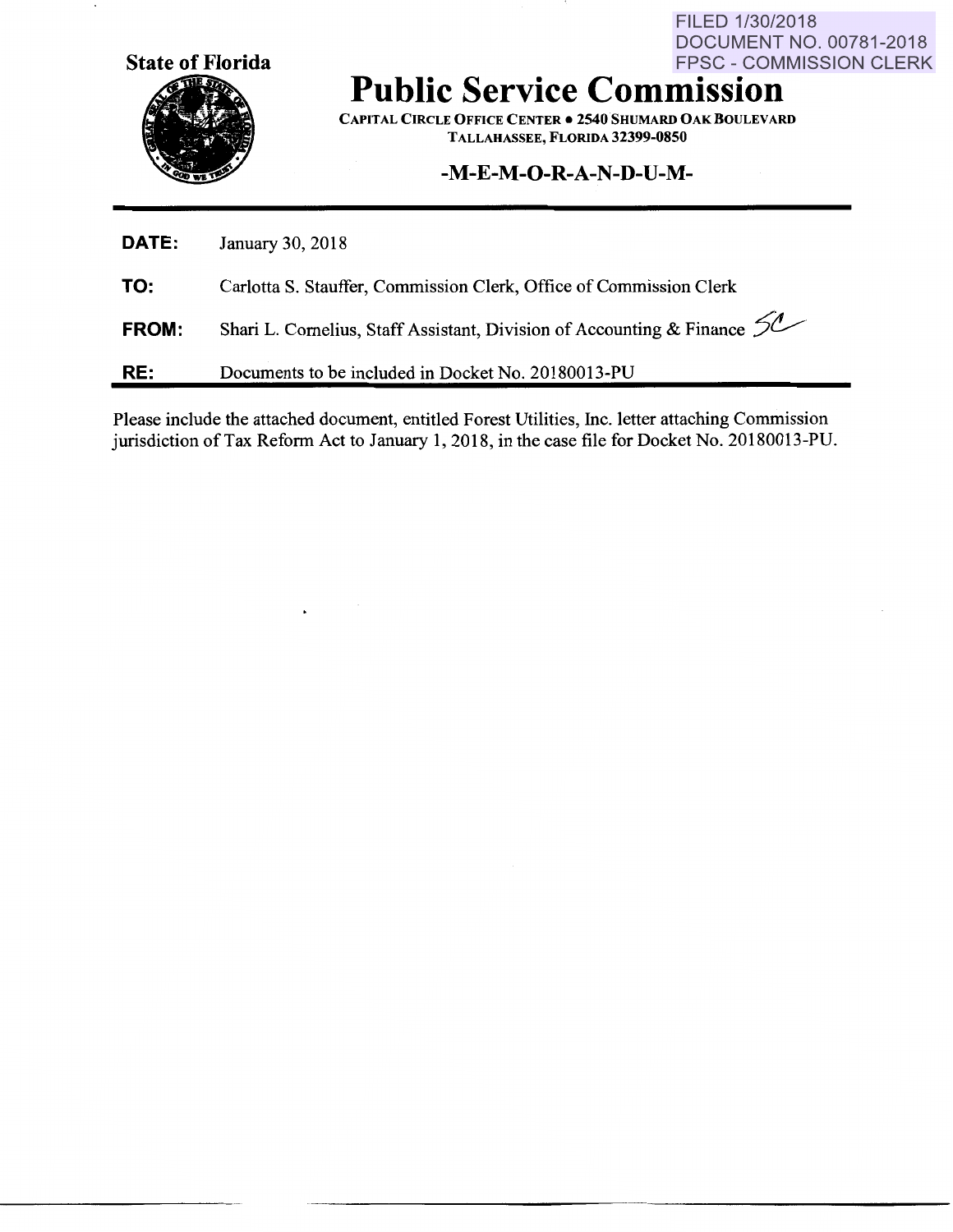

## FPSC - COMMISSION CLERK **Public Service Commission**

CAPITAL CIRCLE OFFICE CENTER • 2540 SHUMARD OAK BOULEVARD TALLAHASSEE, FLORIDA 32399-0850

FILED 1/30/2018

**DOCUMENT NO. 00781-2018** 

## **-M-E-M-0-R-A-N-D-U-M-**

| <b>DATE:</b> | January 30, 2018                                                           |
|--------------|----------------------------------------------------------------------------|
| TO:          | Carlotta S. Stauffer, Commission Clerk, Office of Commission Clerk         |
| FROM:        | Shari L. Cornelius, Staff Assistant, Division of Accounting & Finance $50$ |
| RE:          | Documents to be included in Docket No. 20180013-PU                         |

Please include the attached document, entitled Forest Utilities, Inc. letter attaching Commission jurisdiction of Tax Reform Act to January 1, 2018, in the case file for Docket No. 20180013-PU.